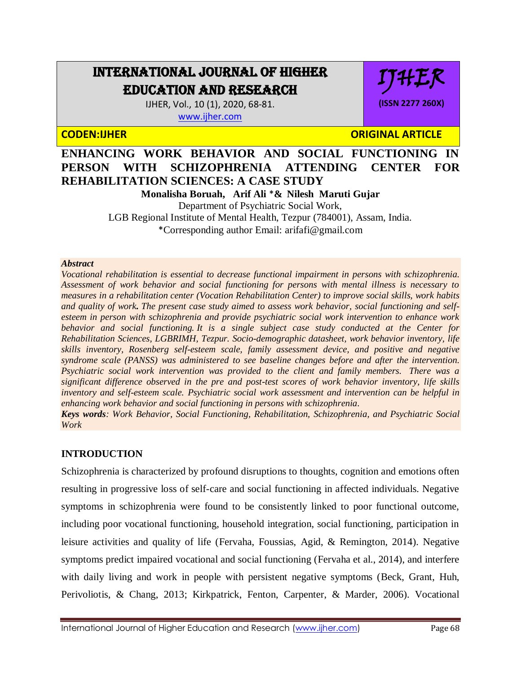# INTERNATIONAL JOURNAL OF HIGHER EDUCATION AND RESEARCH

IJHER, Vol., 10 (1), 2020, 68-81. [www.ijher.com](http://www.ijher.com/)

**CODEN:IJHER ORIGINAL ARTICLE** 

IJHER

**(ISSN 2277 260X)**

**ENHANCING WORK BEHAVIOR AND SOCIAL FUNCTIONING IN PERSON WITH SCHIZOPHRENIA ATTENDING CENTER FOR REHABILITATION SCIENCES: A CASE STUDY**

**Monalisha Boruah, Arif Ali** \***& Nilesh Maruti Gujar**  Department of Psychiatric Social Work, LGB Regional Institute of Mental Health, Tezpur (784001), Assam, India. \*Corresponding author Email: [arifafi@gmail.com](mailto:arifafi@gmail.com)

#### *Abstract*

*Vocational rehabilitation is essential to decrease functional impairment in persons with schizophrenia. Assessment of work behavior and social functioning for persons with mental illness is necessary to measures in a rehabilitation center (Vocation Rehabilitation Center) to improve social skills, work habits and quality of work. The present case study aimed to assess work behavior, social functioning and selfesteem in person with schizophrenia and provide psychiatric social work intervention to enhance work behavior and social functioning. It is a single subject case study conducted at the Center for Rehabilitation Sciences, LGBRIMH, Tezpur. Socio-demographic datasheet, work behavior inventory, life skills inventory, Rosenberg self-esteem scale, family assessment device, and positive and negative syndrome scale (PANSS) was administered to see baseline changes before and after the intervention. Psychiatric social work intervention was provided to the client and family members. There was a significant difference observed in the pre and post-test scores of work behavior inventory, life skills inventory and self-esteem scale. Psychiatric social work assessment and intervention can be helpful in enhancing work behavior and social functioning in persons with schizophrenia.*

*Keys words: Work Behavior, Social Functioning, Rehabilitation, Schizophrenia, and Psychiatric Social Work*

# **INTRODUCTION**

Schizophrenia is characterized by profound disruptions to thoughts, cognition and emotions often resulting in progressive loss of self-care and social functioning in affected individuals. Negative symptoms in schizophrenia were found to be consistently linked to poor functional outcome, including poor vocational functioning, household integration, social functioning, participation in leisure activities and quality of life (Fervaha, Foussias, Agid, & Remington, 2014). Negative symptoms predict impaired vocational and social functioning (Fervaha et al., 2014), and interfere with daily living and work in people with persistent negative symptoms (Beck, Grant, Huh, Perivoliotis, & Chang, 2013; Kirkpatrick, Fenton, Carpenter, & Marder, 2006). Vocational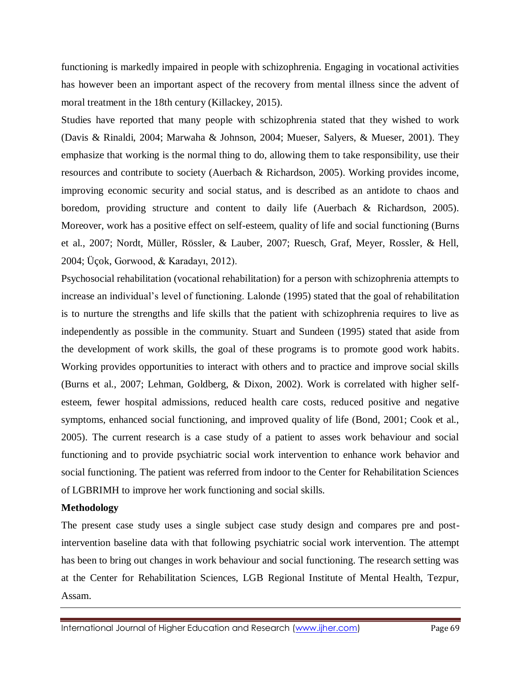functioning is markedly impaired in people with schizophrenia. Engaging in vocational activities has however been an important aspect of the recovery from mental illness since the advent of moral treatment in the 18th century (Killackey, 2015).

Studies have reported that many people with schizophrenia stated that they wished to work (Davis & Rinaldi, 2004; Marwaha & Johnson, 2004; Mueser, Salyers, & Mueser, 2001). They emphasize that working is the normal thing to do, allowing them to take responsibility, use their resources and contribute to society (Auerbach & Richardson, 2005). Working provides income, improving economic security and social status, and is described as an antidote to chaos and boredom, providing structure and content to daily life (Auerbach & Richardson, 2005). Moreover, work has a positive effect on self-esteem, quality of life and social functioning (Burns et al., 2007; Nordt, Müller, Rössler, & Lauber, 2007; Ruesch, Graf, Meyer, Rossler, & Hell, 2004; Üçok, Gorwood, & Karadayı, 2012).

Psychosocial rehabilitation (vocational rehabilitation) for a person with schizophrenia attempts to increase an individual's level of functioning. Lalonde (1995) stated that the goal of rehabilitation is to nurture the strengths and life skills that the patient with schizophrenia requires to live as independently as possible in the community. Stuart and Sundeen (1995) stated that aside from the development of work skills, the goal of these programs is to promote good work habits. Working provides opportunities to interact with others and to practice and improve social skills (Burns et al., 2007; Lehman, Goldberg, & Dixon, 2002). Work is correlated with higher selfesteem, fewer hospital admissions, reduced health care costs, reduced positive and negative symptoms, enhanced social functioning, and improved quality of life (Bond, 2001; Cook et al., 2005). The current research is a case study of a patient to asses work behaviour and social functioning and to provide psychiatric social work intervention to enhance work behavior and social functioning. The patient was referred from indoor to the Center for Rehabilitation Sciences of LGBRIMH to improve her work functioning and social skills.

### **Methodology**

The present case study uses a single subject case study design and compares pre and postintervention baseline data with that following psychiatric social work intervention. The attempt has been to bring out changes in work behaviour and social functioning. The research setting was at the Center for Rehabilitation Sciences, LGB Regional Institute of Mental Health, Tezpur, Assam.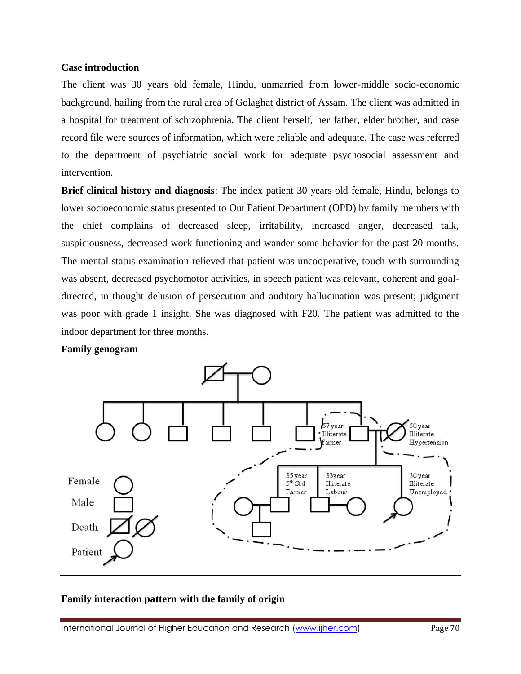#### **Case introduction**

The client was 30 years old female, Hindu, unmarried from lower-middle socio-economic background, hailing from the rural area of Golaghat district of Assam. The client was admitted in a hospital for treatment of schizophrenia. The client herself, her father, elder brother, and case record file were sources of information, which were reliable and adequate. The case was referred to the department of psychiatric social work for adequate psychosocial assessment and intervention.

**Brief clinical history and diagnosis**: The index patient 30 years old female, Hindu, belongs to lower socioeconomic status presented to Out Patient Department (OPD) by family members with the chief complains of decreased sleep, irritability, increased anger, decreased talk, suspiciousness, decreased work functioning and wander some behavior for the past 20 months. The mental status examination relieved that patient was uncooperative, touch with surrounding was absent, decreased psychomotor activities, in speech patient was relevant, coherent and goaldirected, in thought delusion of persecution and auditory hallucination was present; judgment was poor with grade 1 insight. She was diagnosed with F20. The patient was admitted to the indoor department for three months.

#### **Family genogram**



# **Family interaction pattern with the family of origin**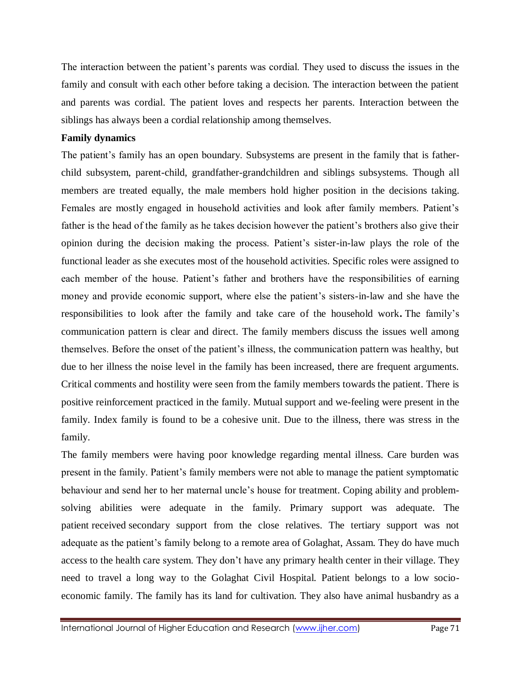The interaction between the patient's parents was cordial. They used to discuss the issues in the family and consult with each other before taking a decision. The interaction between the patient and parents was cordial. The patient loves and respects her parents. Interaction between the siblings has always been a cordial relationship among themselves.

# **Family dynamics**

The patient's family has an open boundary. Subsystems are present in the family that is fatherchild subsystem, parent-child, grandfather-grandchildren and siblings subsystems. Though all members are treated equally, the male members hold higher position in the decisions taking. Females are mostly engaged in household activities and look after family members. Patient's father is the head of the family as he takes decision however the patient's brothers also give their opinion during the decision making the process. Patient's sister-in-law plays the role of the functional leader as she executes most of the household activities. Specific roles were assigned to each member of the house. Patient's father and brothers have the responsibilities of earning money and provide economic support, where else the patient's sisters-in-law and she have the responsibilities to look after the family and take care of the household work**.** The family's communication pattern is clear and direct. The family members discuss the issues well among themselves. Before the onset of the patient's illness, the communication pattern was healthy, but due to her illness the noise level in the family has been increased, there are frequent arguments. Critical comments and hostility were seen from the family members towards the patient. There is positive reinforcement practiced in the family. Mutual support and we-feeling were present in the family. Index family is found to be a cohesive unit. Due to the illness, there was stress in the family.

The family members were having poor knowledge regarding mental illness. Care burden was present in the family. Patient's family members were not able to manage the patient symptomatic behaviour and send her to her maternal uncle's house for treatment. Coping ability and problemsolving abilities were adequate in the family. Primary support was adequate. The patient received secondary support from the close relatives. The tertiary support was not adequate as the patient's family belong to a remote area of Golaghat, Assam. They do have much access to the health care system. They don't have any primary health center in their village. They need to travel a long way to the Golaghat Civil Hospital. Patient belongs to a low socioeconomic family. The family has its land for cultivation. They also have animal husbandry as a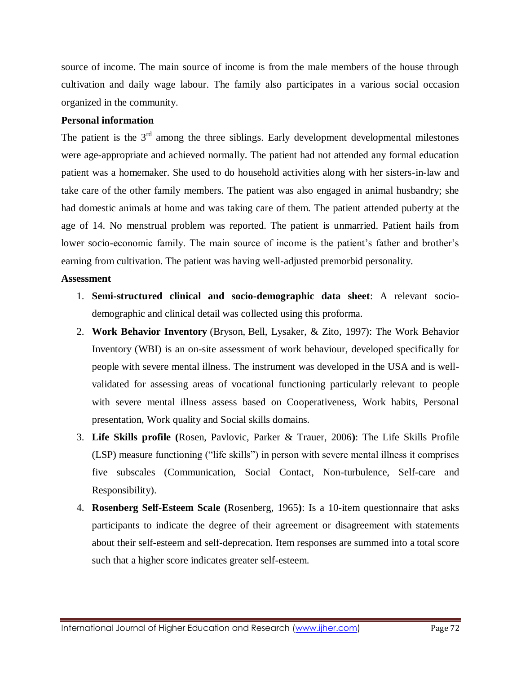source of income. The main source of income is from the male members of the house through cultivation and daily wage labour. The family also participates in a various social occasion organized in the community.

### **Personal information**

The patient is the  $3<sup>rd</sup>$  among the three siblings. Early development developmental milestones were age-appropriate and achieved normally. The patient had not attended any formal education patient was a homemaker. She used to do household activities along with her sisters-in-law and take care of the other family members. The patient was also engaged in animal husbandry; she had domestic animals at home and was taking care of them. The patient attended puberty at the age of 14. No menstrual problem was reported. The patient is unmarried. Patient hails from lower socio-economic family. The main source of income is the patient's father and brother's earning from cultivation. The patient was having well-adjusted premorbid personality.

### **Assessment**

- 1. **Semi-structured clinical and socio-demographic data sheet**: A relevant sociodemographic and clinical detail was collected using this proforma.
- 2. **Work Behavior Inventory** (Bryson, Bell, Lysaker, & Zito, 1997): The Work Behavior Inventory (WBI) is an on-site assessment of work behaviour, developed specifically for people with severe mental illness. The instrument was developed in the USA and is wellvalidated for assessing areas of vocational functioning particularly relevant to people with severe mental illness assess based on Cooperativeness, Work habits, Personal presentation, Work quality and Social skills domains.
- 3. **Life Skills profile (**Rosen, Pavlovic, Parker & Trauer, 2006**)**: The Life Skills Profile (LSP) measure functioning ("life skills") in person with severe mental illness it comprises five subscales (Communication, Social Contact, Non-turbulence, Self-care and Responsibility).
- 4. **Rosenberg Self-Esteem Scale (**Rosenberg, 1965**)**: Is a 10-item questionnaire that asks participants to indicate the degree of their agreement or disagreement with statements about their self-esteem and self-deprecation. Item responses are summed into a total score such that a higher score indicates greater self-esteem.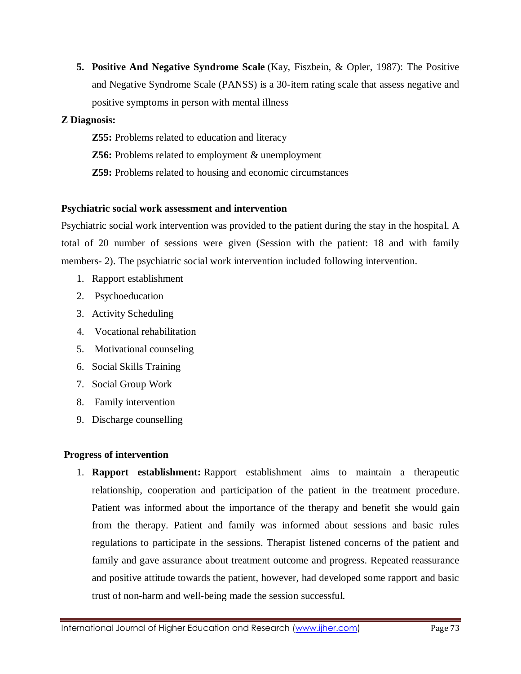**5. Positive And Negative Syndrome Scale** (Kay, Fiszbein, & Opler, 1987): The Positive and Negative Syndrome Scale (PANSS) is a 30-item rating scale that assess negative and positive symptoms in person with mental illness

# **Z Diagnosis:**

**Z55:** Problems related to education and literacy **Z56:** Problems related to employment & unemployment **Z59:** Problems related to housing and economic circumstances

# **Psychiatric social work assessment and intervention**

Psychiatric social work intervention was provided to the patient during the stay in the hospital. A total of 20 number of sessions were given (Session with the patient: 18 and with family members- 2). The psychiatric social work intervention included following intervention.

- 1. Rapport establishment
- 2. Psychoeducation
- 3. Activity Scheduling
- 4. Vocational rehabilitation
- 5. Motivational counseling
- 6. Social Skills Training
- 7. Social Group Work
- 8. Family intervention
- 9. Discharge counselling

# **Progress of intervention**

1. **Rapport establishment:** Rapport establishment aims to maintain a therapeutic relationship, cooperation and participation of the patient in the treatment procedure. Patient was informed about the importance of the therapy and benefit she would gain from the therapy. Patient and family was informed about sessions and basic rules regulations to participate in the sessions. Therapist listened concerns of the patient and family and gave assurance about treatment outcome and progress. Repeated reassurance and positive attitude towards the patient, however, had developed some rapport and basic trust of non-harm and well-being made the session successful.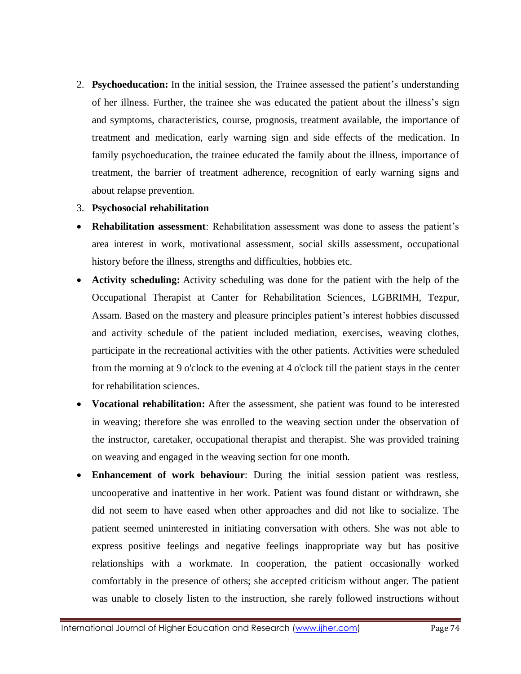2. **Psychoeducation:** In the initial session, the Trainee assessed the patient's understanding of her illness. Further, the trainee she was educated the patient about the illness's sign and symptoms, characteristics, course, prognosis, treatment available, the importance of treatment and medication, early warning sign and side effects of the medication. In family psychoeducation, the trainee educated the family about the illness, importance of treatment, the barrier of treatment adherence, recognition of early warning signs and about relapse prevention.

# 3. **Psychosocial rehabilitation**

- **Rehabilitation assessment**: Rehabilitation assessment was done to assess the patient's area interest in work, motivational assessment, social skills assessment, occupational history before the illness, strengths and difficulties, hobbies etc.
- **Activity scheduling:** Activity scheduling was done for the patient with the help of the Occupational Therapist at Canter for Rehabilitation Sciences, LGBRIMH, Tezpur, Assam. Based on the mastery and pleasure principles patient's interest hobbies discussed and activity schedule of the patient included mediation, exercises, weaving clothes, participate in the recreational activities with the other patients. Activities were scheduled from the morning at 9 o'clock to the evening at 4 o'clock till the patient stays in the center for rehabilitation sciences.
- **Vocational rehabilitation:** After the assessment, she patient was found to be interested in weaving; therefore she was enrolled to the weaving section under the observation of the instructor, caretaker, occupational therapist and therapist. She was provided training on weaving and engaged in the weaving section for one month.
- **Enhancement of work behaviour**: During the initial session patient was restless, uncooperative and inattentive in her work. Patient was found distant or withdrawn, she did not seem to have eased when other approaches and did not like to socialize. The patient seemed uninterested in initiating conversation with others. She was not able to express positive feelings and negative feelings inappropriate way but has positive relationships with a workmate. In cooperation, the patient occasionally worked comfortably in the presence of others; she accepted criticism without anger. The patient was unable to closely listen to the instruction, she rarely followed instructions without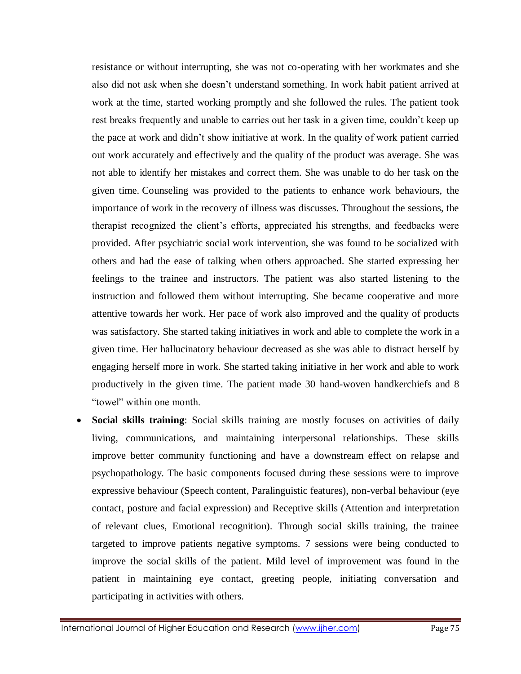resistance or without interrupting, she was not co-operating with her workmates and she also did not ask when she doesn't understand something. In work habit patient arrived at work at the time, started working promptly and she followed the rules. The patient took rest breaks frequently and unable to carries out her task in a given time, couldn't keep up the pace at work and didn't show initiative at work. In the quality of work patient carried out work accurately and effectively and the quality of the product was average. She was not able to identify her mistakes and correct them. She was unable to do her task on the given time. Counseling was provided to the patients to enhance work behaviours, the importance of work in the recovery of illness was discusses. Throughout the sessions, the therapist recognized the client's efforts, appreciated his strengths, and feedbacks were provided. After psychiatric social work intervention, she was found to be socialized with others and had the ease of talking when others approached. She started expressing her feelings to the trainee and instructors. The patient was also started listening to the instruction and followed them without interrupting. She became cooperative and more attentive towards her work. Her pace of work also improved and the quality of products was satisfactory. She started taking initiatives in work and able to complete the work in a given time. Her hallucinatory behaviour decreased as she was able to distract herself by engaging herself more in work. She started taking initiative in her work and able to work productively in the given time. The patient made 30 hand-woven handkerchiefs and 8 "towel" within one month.

 **Social skills training**: Social skills training are mostly focuses on activities of daily living, communications, and maintaining interpersonal relationships. These skills improve better community functioning and have a downstream effect on relapse and psychopathology. The basic components focused during these sessions were to improve expressive behaviour (Speech content, Paralinguistic features), non-verbal behaviour (eye contact, posture and facial expression) and Receptive skills (Attention and interpretation of relevant clues, Emotional recognition). Through social skills training, the trainee targeted to improve patients negative symptoms. 7 sessions were being conducted to improve the social skills of the patient. Mild level of improvement was found in the patient in maintaining eye contact, greeting people, initiating conversation and participating in activities with others.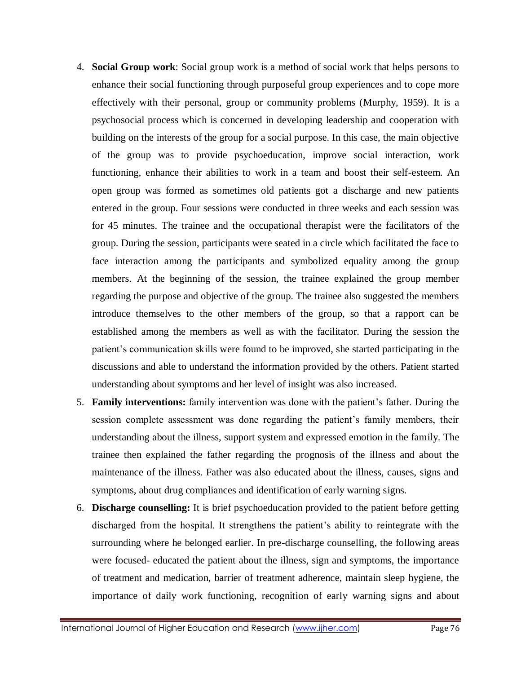- 4. **Social Group work**: Social group work is a method of social work that helps persons to enhance their social functioning through purposeful group experiences and to cope more effectively with their personal, group or community problems (Murphy, 1959). It is a psychosocial process which is concerned in developing leadership and cooperation with building on the interests of the group for a social purpose. In this case, the main objective of the group was to provide psychoeducation, improve social interaction, work functioning, enhance their abilities to work in a team and boost their self-esteem. An open group was formed as sometimes old patients got a discharge and new patients entered in the group. Four sessions were conducted in three weeks and each session was for 45 minutes. The trainee and the occupational therapist were the facilitators of the group. During the session, participants were seated in a circle which facilitated the face to face interaction among the participants and symbolized equality among the group members. At the beginning of the session, the trainee explained the group member regarding the purpose and objective of the group. The trainee also suggested the members introduce themselves to the other members of the group, so that a rapport can be established among the members as well as with the facilitator. During the session the patient's communication skills were found to be improved, she started participating in the discussions and able to understand the information provided by the others. Patient started understanding about symptoms and her level of insight was also increased.
- 5. **Family interventions:** family intervention was done with the patient's father. During the session complete assessment was done regarding the patient's family members, their understanding about the illness, support system and expressed emotion in the family. The trainee then explained the father regarding the prognosis of the illness and about the maintenance of the illness. Father was also educated about the illness, causes, signs and symptoms, about drug compliances and identification of early warning signs.
- 6. **Discharge counselling:** It is brief psychoeducation provided to the patient before getting discharged from the hospital. It strengthens the patient's ability to reintegrate with the surrounding where he belonged earlier. In pre-discharge counselling, the following areas were focused- educated the patient about the illness, sign and symptoms, the importance of treatment and medication, barrier of treatment adherence, maintain sleep hygiene, the importance of daily work functioning, recognition of early warning signs and about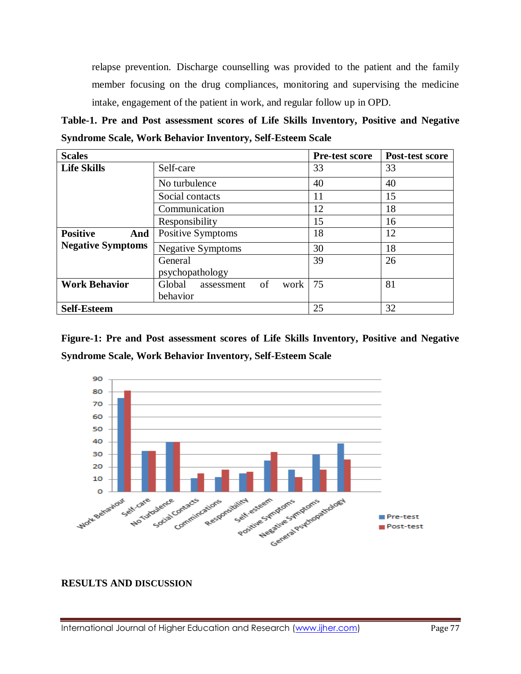relapse prevention. Discharge counselling was provided to the patient and the family member focusing on the drug compliances, monitoring and supervising the medicine intake, engagement of the patient in work, and regular follow up in OPD.

**Table-1. Pre and Post assessment scores of Life Skills Inventory, Positive and Negative Syndrome Scale, Work Behavior Inventory, Self-Esteem Scale** 

| <b>Scales</b>            |                                    | Pre-test score | Post-test score |
|--------------------------|------------------------------------|----------------|-----------------|
| <b>Life Skills</b>       | Self-care                          | 33             | 33              |
|                          | No turbulence                      | 40             | 40              |
|                          | Social contacts                    | 11             | 15              |
|                          | Communication                      | 12             | 18              |
|                          | Responsibility                     | 15             | 16              |
| <b>Positive</b><br>And   | Positive Symptoms                  | 18             | 12              |
| <b>Negative Symptoms</b> | <b>Negative Symptoms</b>           | 30             | 18              |
|                          | General<br>psychopathology         | 39             | 26              |
| <b>Work Behavior</b>     | of<br>Global<br>work<br>assessment | 75             | 81              |
|                          | behavior                           |                |                 |
| <b>Self-Esteem</b>       |                                    | 25             | 32              |

**Figure-1: Pre and Post assessment scores of Life Skills Inventory, Positive and Negative Syndrome Scale, Work Behavior Inventory, Self-Esteem Scale** 



### **RESULTS AND DISCUSSION**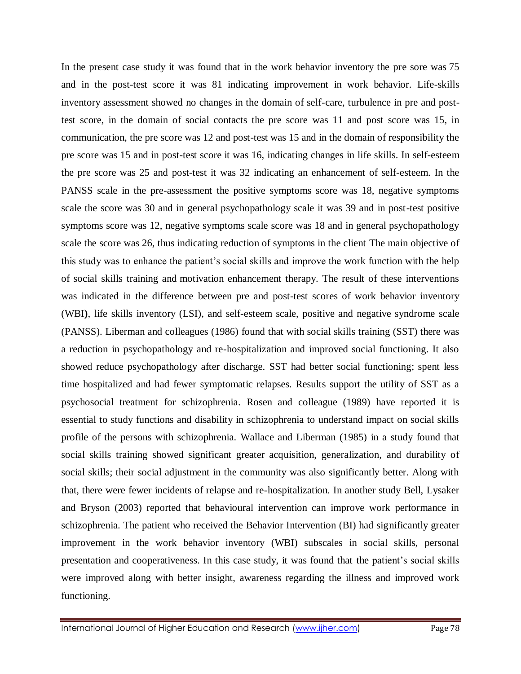In the present case study it was found that in the work behavior inventory the pre sore was 75 and in the post-test score it was 81 indicating improvement in work behavior. Life-skills inventory assessment showed no changes in the domain of self-care, turbulence in pre and posttest score, in the domain of social contacts the pre score was 11 and post score was 15, in communication, the pre score was 12 and post-test was 15 and in the domain of responsibility the pre score was 15 and in post-test score it was 16, indicating changes in life skills. In self-esteem the pre score was 25 and post-test it was 32 indicating an enhancement of self-esteem. In the PANSS scale in the pre-assessment the positive symptoms score was 18, negative symptoms scale the score was 30 and in general psychopathology scale it was 39 and in post-test positive symptoms score was 12, negative symptoms scale score was 18 and in general psychopathology scale the score was 26, thus indicating reduction of symptoms in the client The main objective of this study was to enhance the patient's social skills and improve the work function with the help of social skills training and motivation enhancement therapy. The result of these interventions was indicated in the difference between pre and post-test scores of work behavior inventory (WBI**)**, life skills inventory (LSI), and self-esteem scale, positive and negative syndrome scale (PANSS). Liberman and colleagues (1986) found that with social skills training (SST) there was a reduction in psychopathology and re-hospitalization and improved social functioning. It also showed reduce psychopathology after discharge. SST had better social functioning; spent less time hospitalized and had fewer symptomatic relapses. Results support the utility of SST as a psychosocial treatment for schizophrenia. Rosen and colleague (1989) have reported it is essential to study functions and disability in schizophrenia to understand impact on social skills profile of the persons with schizophrenia. Wallace and Liberman (1985) in a study found that social skills training showed significant greater acquisition, generalization, and durability of social skills; their social adjustment in the community was also significantly better. Along with that, there were fewer incidents of relapse and re-hospitalization. In another study Bell, Lysaker and Bryson (2003) reported that behavioural intervention can improve work performance in schizophrenia. The patient who received the Behavior Intervention (BI) had significantly greater improvement in the work behavior inventory (WBI) subscales in social skills, personal presentation and cooperativeness. In this case study, it was found that the patient's social skills were improved along with better insight, awareness regarding the illness and improved work functioning.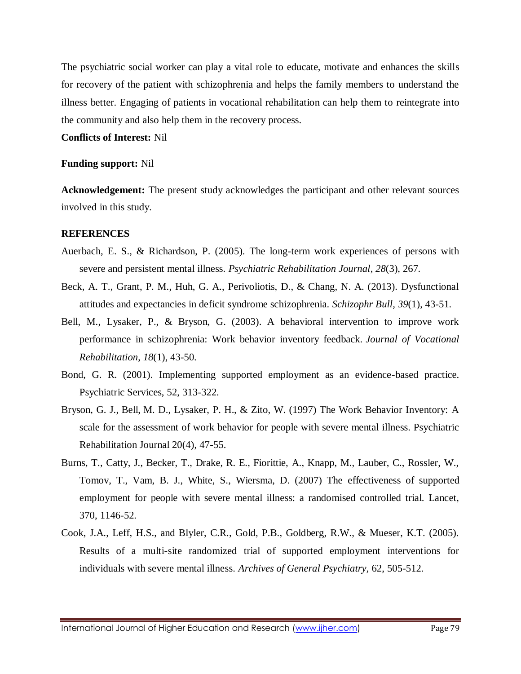The psychiatric social worker can play a vital role to educate, motivate and enhances the skills for recovery of the patient with schizophrenia and helps the family members to understand the illness better. Engaging of patients in vocational rehabilitation can help them to reintegrate into the community and also help them in the recovery process.

#### **Conflicts of Interest:** Nil

#### **Funding support:** Nil

**Acknowledgement:** The present study acknowledges the participant and other relevant sources involved in this study.

#### **REFERENCES**

- Auerbach, E. S., & Richardson, P. (2005). The long-term work experiences of persons with severe and persistent mental illness. *Psychiatric Rehabilitation Journal*, *28*(3), 267.
- Beck, A. T., Grant, P. M., Huh, G. A., Perivoliotis, D., & Chang, N. A. (2013). Dysfunctional attitudes and expectancies in deficit syndrome schizophrenia. *Schizophr Bull, 39*(1), 43-51.
- Bell, M., Lysaker, P., & Bryson, G. (2003). A behavioral intervention to improve work performance in schizophrenia: Work behavior inventory feedback. *Journal of Vocational Rehabilitation*, *18*(1), 43-50.
- Bond, G. R. (2001). Implementing supported employment as an evidence-based practice. Psychiatric Services, 52, 313-322.
- Bryson, G. J., Bell, M. D., Lysaker, P. H., & Zito, W. (1997) The Work Behavior Inventory: A scale for the assessment of work behavior for people with severe mental illness. Psychiatric Rehabilitation Journal 20(4), 47-55.
- Burns, T., Catty, J., Becker, T., Drake, R. E., Fiorittie, A., Knapp, M., Lauber, C., Rossler, W., Tomov, T., Vam, B. J., White, S., Wiersma, D. (2007) The effectiveness of supported employment for people with severe mental illness: a randomised controlled trial. Lancet, 370, 1146-52.
- Cook, J.A., Leff, H.S., and Blyler, C.R., Gold, P.B., Goldberg, R.W., & Mueser, K.T. (2005). Results of a multi-site randomized trial of supported employment interventions for individuals with severe mental illness. *Archives of General Psychiatry,* 62, 505-512.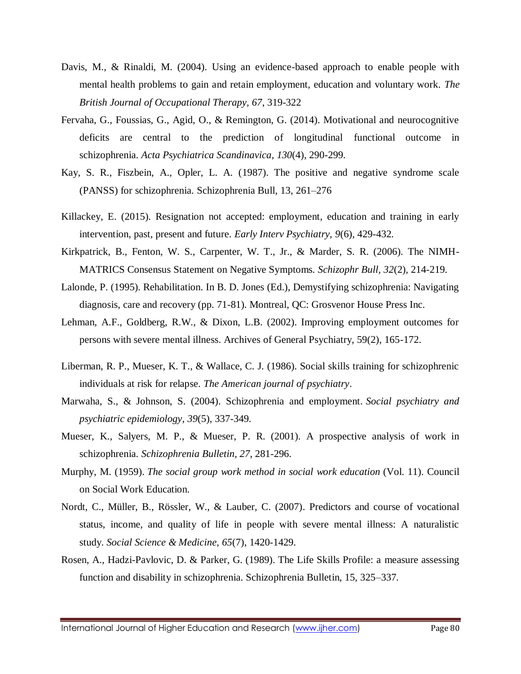- Davis, M., & Rinaldi, M. (2004). Using an evidence-based approach to enable people with mental health problems to gain and retain employment, education and voluntary work. *The British Journal of Occupational Therapy, 67*, 319-322
- Fervaha, G., Foussias, G., Agid, O., & Remington, G. (2014). Motivational and neurocognitive deficits are central to the prediction of longitudinal functional outcome in schizophrenia. *Acta Psychiatrica Scandinavica*, *130*(4), 290-299.
- Kay, S. R., Fiszbein, A., Opler, L. A. (1987). The positive and negative syndrome scale (PANSS) for schizophrenia. Schizophrenia Bull, 13, 261–276
- Killackey, E. (2015). Resignation not accepted: employment, education and training in early intervention, past, present and future. *Early Interv Psychiatry, 9*(6), 429-432.
- Kirkpatrick, B., Fenton, W. S., Carpenter, W. T., Jr., & Marder, S. R. (2006). The NIMH-MATRICS Consensus Statement on Negative Symptoms. *Schizophr Bull, 32*(2), 214-219.
- Lalonde, P. (1995). Rehabilitation. In B. D. Jones (Ed.), Demystifying schizophrenia: Navigating diagnosis, care and recovery (pp. 71-81). Montreal, QC: Grosvenor House Press Inc.
- Lehman, A.F., Goldberg, R.W., & Dixon, L.B. (2002). Improving employment outcomes for persons with severe mental illness. Archives of General Psychiatry, 59(2), 165-172.
- Liberman, R. P., Mueser, K. T., & Wallace, C. J. (1986). Social skills training for schizophrenic individuals at risk for relapse. *The American journal of psychiatry*.
- Marwaha, S., & Johnson, S. (2004). Schizophrenia and employment. *Social psychiatry and psychiatric epidemiology*, *39*(5), 337-349.
- Mueser, K., Salyers, M. P., & Mueser, P. R. (2001). A prospective analysis of work in schizophrenia. *Schizophrenia Bulletin, 27*, 281-296.
- Murphy, M. (1959). *The social group work method in social work education* (Vol. 11). Council on Social Work Education.
- Nordt, C., Müller, B., Rössler, W., & Lauber, C. (2007). Predictors and course of vocational status, income, and quality of life in people with severe mental illness: A naturalistic study. *Social Science & Medicine*, *65*(7), 1420-1429.
- Rosen, A., Hadzi-Pavlovic, D. & Parker, G. (1989). The Life Skills Profile: a measure assessing function and disability in schizophrenia. Schizophrenia Bulletin, 15, 325–337.